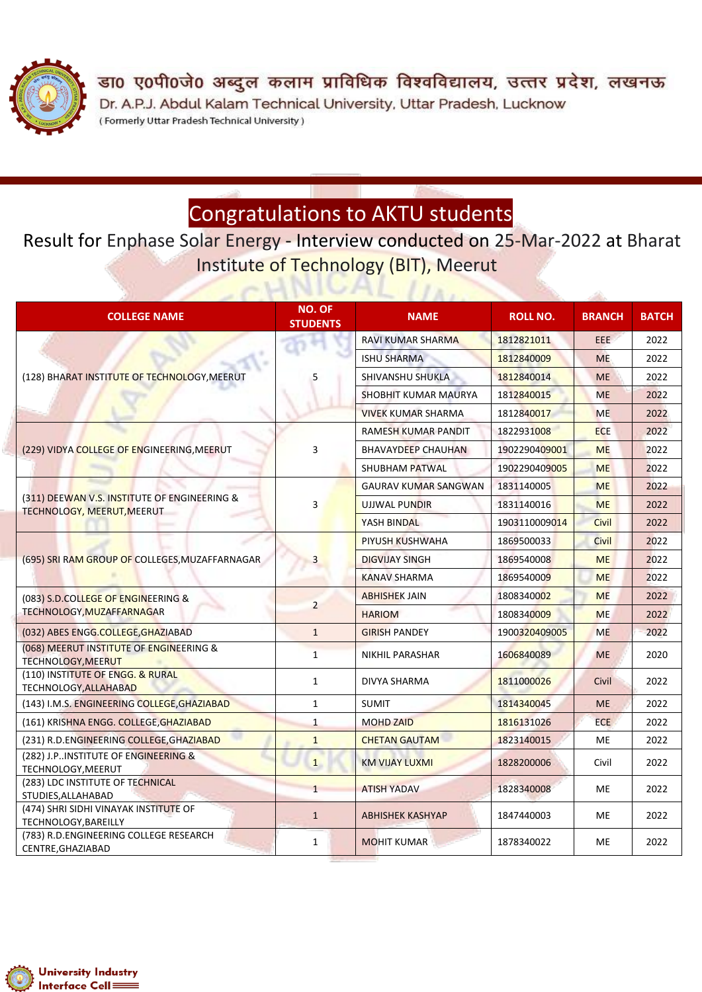

डा0 ए0पी0जे0 अब्दुल कलाम प्राविधिक विश्वविद्यालय, उत्तर प्रदेश, लखनऊ Dr. A.P.J. Abdul Kalam Technical University, Uttar Pradesh, Lucknow (Formerly Uttar Pradesh Technical University)

## Congratulations to AKTU students

Result for Enphase Solar Energy - Interview conducted on 25-Mar-2022 at Bharat Institute of Technology (BIT), Meerut

 $\sim$   $\sim$   $\sim$   $\sim$   $\sim$ 

| <b>COLLEGE NAME</b>                                                        | <b>NO. OF</b><br><b>STUDENTS</b> | <b>NAME</b>                 | <b>ROLL NO.</b> | <b>BRANCH</b> | <b>BATCH</b> |
|----------------------------------------------------------------------------|----------------------------------|-----------------------------|-----------------|---------------|--------------|
| (128) BHARAT INSTITUTE OF TECHNOLOGY, MEERUT                               | 5                                | <b>RAVI KUMAR SHARMA</b>    | 1812821011      | EEE.          | 2022         |
|                                                                            |                                  | <b>ISHU SHARMA</b>          | 1812840009      | <b>ME</b>     | 2022         |
|                                                                            |                                  | <b>SHIVANSHU SHUKLA</b>     | 1812840014      | <b>ME</b>     | 2022         |
|                                                                            |                                  | <b>SHOBHIT KUMAR MAURYA</b> | 1812840015      | <b>ME</b>     | 2022         |
|                                                                            |                                  | <b>VIVEK KUMAR SHARMA</b>   | 1812840017      | <b>ME</b>     | 2022         |
| (229) VIDYA COLLEGE OF ENGINEERING, MEERUT                                 | 3                                | RAMESH KUMAR PANDIT         | 1822931008      | <b>ECE</b>    | 2022         |
|                                                                            |                                  | <b>BHAVAYDEEP CHAUHAN</b>   | 1902290409001   | <b>ME</b>     | 2022         |
|                                                                            |                                  | <b>SHUBHAM PATWAL</b>       | 1902290409005   | <b>ME</b>     | 2022         |
| (311) DEEWAN V.S. INSTITUTE OF ENGINEERING &<br>TECHNOLOGY, MEERUT, MEERUT | 3                                | <b>GAURAV KUMAR SANGWAN</b> | 1831140005      | <b>ME</b>     | 2022         |
|                                                                            |                                  | <b>UJJWAL PUNDIR</b>        | 1831140016      | <b>ME</b>     | 2022         |
|                                                                            |                                  | YASH BINDAL                 | 1903110009014   | Civil         | 2022         |
| (695) SRI RAM GROUP OF COLLEGES, MUZAFFARNAGAR                             | $\overline{3}$                   | <b>PIYUSH KUSHWAHA</b>      | 1869500033      | <b>Civil</b>  | 2022         |
|                                                                            |                                  | <b>DIGVIJAY SINGH</b>       | 1869540008      | <b>ME</b>     | 2022         |
|                                                                            |                                  | <b>KANAV SHARMA</b>         | 1869540009      | <b>ME</b>     | 2022         |
| (083) S.D.COLLEGE OF ENGINEERING &<br>TECHNOLOGY, MUZAFFARNAGAR            | $\overline{2}$                   | <b>ABHISHEK JAIN</b>        | 1808340002      | <b>ME</b>     | 2022         |
|                                                                            |                                  | <b>HARIOM</b>               | 1808340009      | <b>ME</b>     | 2022         |
| (032) ABES ENGG.COLLEGE, GHAZIABAD                                         | $\mathbf{1}$                     | <b>GIRISH PANDEY</b>        | 1900320409005   | <b>ME</b>     | 2022         |
| (068) MEERUT INSTITUTE OF ENGINEERING &<br>TECHNOLOGY, MEERUT              | $\mathbf{1}$                     | NIKHIL PARASHAR             | 1606840089      | <b>ME</b>     | 2020         |
| (110) INSTITUTE OF ENGG. & RURAL<br>TECHNOLOGY, ALLAHABAD                  | $\mathbf{1}$                     | <b>DIVYA SHARMA</b>         | 1811000026      | Civil         | 2022         |
| (143) I.M.S. ENGINEERING COLLEGE, GHAZIABAD                                | $\mathbf{1}$                     | <b>SUMIT</b>                | 1814340045      | <b>ME</b>     | 2022         |
| (161) KRISHNA ENGG. COLLEGE, GHAZIABAD                                     | $\mathbf{1}$                     | <b>MOHD ZAID</b>            | 1816131026      | ECE.          | 2022         |
| (231) R.D.ENGINEERING COLLEGE, GHAZIABAD                                   | $\mathbf{1}$                     | <b>CHETAN GAUTAM</b>        | 1823140015      | <b>ME</b>     | 2022         |
| (282) J.P. INSTITUTE OF ENGINEERING &<br>TECHNOLOGY, MEERUT                | $\mathbf{1}$                     | <b>KM VIJAY LUXMI</b>       | 1828200006      | Civil         | 2022         |
| (283) LDC INSTITUTE OF TECHNICAL<br>STUDIES, ALLAHABAD                     | $\mathbf{1}$                     | <b>ATISH YADAV</b>          | 1828340008      | ME            | 2022         |
| (474) SHRI SIDHI VINAYAK INSTITUTE OF<br>TECHNOLOGY, BAREILLY              | $\mathbf{1}$                     | <b>ABHISHEK KASHYAP</b>     | 1847440003      | <b>ME</b>     | 2022         |
| (783) R.D.ENGINEERING COLLEGE RESEARCH<br>CENTRE, GHAZIABAD                | $\mathbf{1}$                     | <b>MOHIT KUMAR</b>          | 1878340022      | ME            | 2022         |

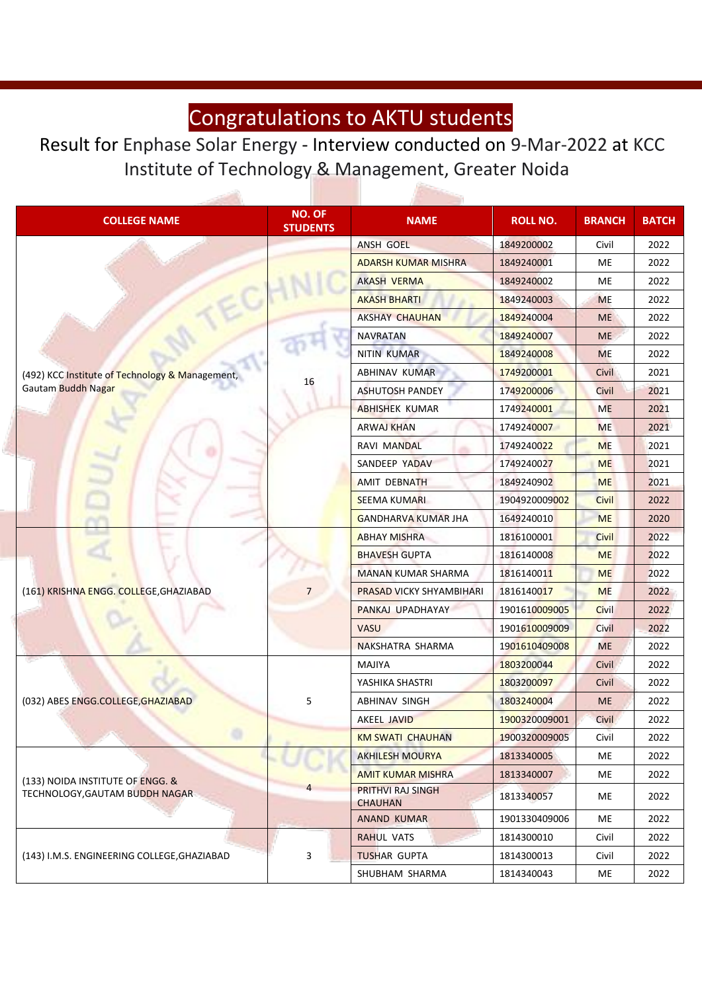## Congratulations to AKTU students

Result for Enphase Solar Energy - Interview conducted on 9-Mar-2022 at KCC Institute of Technology & Management, Greater Noida

بأوس

| <b>COLLEGE NAME</b>                                                   | <b>NO. OF</b><br><b>STUDENTS</b> | <b>NAME</b>                                | <b>ROLL NO.</b> | <b>BRANCH</b> | <b>BATCH</b> |
|-----------------------------------------------------------------------|----------------------------------|--------------------------------------------|-----------------|---------------|--------------|
| (492) KCC Institute of Technology & Management,<br>Gautam Buddh Nagar |                                  | <b>ANSH GOEL</b>                           | 1849200002      | Civil         | 2022         |
|                                                                       |                                  | <b>ADARSH KUMAR MISHRA</b>                 | 1849240001      | ME            | 2022         |
|                                                                       |                                  | <b>AKASH VERMA</b>                         | 1849240002      | ME            | 2022         |
|                                                                       |                                  | <b>AKASH BHARTI</b>                        | 1849240003      | <b>ME</b>     | 2022         |
|                                                                       |                                  | <b>AKSHAY CHAUHAN</b>                      | 1849240004      | <b>ME</b>     | 2022         |
|                                                                       | 16                               | <b>NAVRATAN</b>                            | 1849240007      | <b>ME</b>     | 2022         |
|                                                                       |                                  | <b>NITIN KUMAR</b>                         | 1849240008      | <b>ME</b>     | 2022         |
|                                                                       |                                  | <b>ABHINAV KUMAR</b>                       | 1749200001      | Civil         | 2021         |
|                                                                       |                                  | <b>ASHUTOSH PANDEY</b>                     | 1749200006      | Civil         | 2021         |
|                                                                       |                                  | <b>ABHISHEK KUMAR</b>                      | 1749240001      | <b>ME</b>     | 2021         |
|                                                                       |                                  | <b>ARWAJ KHAN</b>                          | 1749240007      | <b>ME</b>     | 2021         |
|                                                                       |                                  | <b>RAVI MANDAL</b>                         | 1749240022      | <b>ME</b>     | 2021         |
|                                                                       |                                  | SANDEEP YADAV                              | 1749240027      | <b>ME</b>     | 2021         |
|                                                                       |                                  | <b>AMIT DEBNATH</b>                        | 1849240902      | <b>ME</b>     | 2021         |
|                                                                       |                                  | <b>SEEMA KUMARI</b>                        | 1904920009002   | <b>Civil</b>  | 2022         |
|                                                                       |                                  | <b>GANDHARVA KUMAR JHA</b>                 | 1649240010      | <b>ME</b>     | 2020         |
| (161) KRISHNA ENGG. COLLEGE, GHAZIABAD                                | $\overline{7}$                   | <b>ABHAY MISHRA</b>                        | 1816100001      | Civil         | 2022         |
|                                                                       |                                  | <b>BHAVESH GUPTA</b>                       | 1816140008      | <b>ME</b>     | 2022         |
|                                                                       |                                  | <b>MANAN KUMAR SHARMA</b>                  | 1816140011      | <b>ME</b>     | 2022         |
|                                                                       |                                  | PRASAD VICKY SHYAMBIHARI                   | 1816140017      | <b>ME</b>     | 2022         |
|                                                                       |                                  | PANKAJ UPADHAYAY                           | 1901610009005   | Civil         | 2022         |
|                                                                       |                                  | <b>VASU</b>                                | 1901610009009   | Civil         | 2022         |
|                                                                       |                                  | NAKSHATRA SHARMA                           | 1901610409008   | <b>ME</b>     | 2022         |
| (032) ABES ENGG.COLLEGE, GHAZIABAD                                    | 5                                | <b>MAJIYA</b>                              | 1803200044      | <b>Civil</b>  | 2022         |
|                                                                       |                                  | YASHIKA SHASTRI                            | 1803200097      | Civil         | 2022         |
|                                                                       |                                  | ABHINAV SINGH                              | 1803240004      | <b>ME</b>     | 2022         |
|                                                                       |                                  | <b>AKEEL JAVID</b>                         | 1900320009001   | Civil         | 2022         |
|                                                                       |                                  | <b>KM SWATI CHAUHAN</b>                    | 1900320009005   | Civil         | 2022         |
| (133) NOIDA INSTITUTE OF ENGG. &<br>TECHNOLOGY, GAUTAM BUDDH NAGAR    |                                  | <b>AKHILESH MOURYA</b>                     | 1813340005      | ME            | 2022         |
|                                                                       |                                  | <b>AMIT KUMAR MISHRA</b>                   | 1813340007      | ME            | 2022         |
|                                                                       | 4                                | <b>PRITHVI RAJ SINGH</b><br><b>CHAUHAN</b> | 1813340057      | ME            | 2022         |
|                                                                       |                                  | <b>ANAND KUMAR</b>                         | 1901330409006   | ME            | 2022         |
| (143) I.M.S. ENGINEERING COLLEGE, GHAZIABAD                           | 3                                | <b>RAHUL VATS</b>                          | 1814300010      | Civil         | 2022         |
|                                                                       |                                  | <b>TUSHAR GUPTA</b>                        | 1814300013      | Civil         | 2022         |
|                                                                       |                                  | SHUBHAM SHARMA                             | 1814340043      | ME            | 2022         |